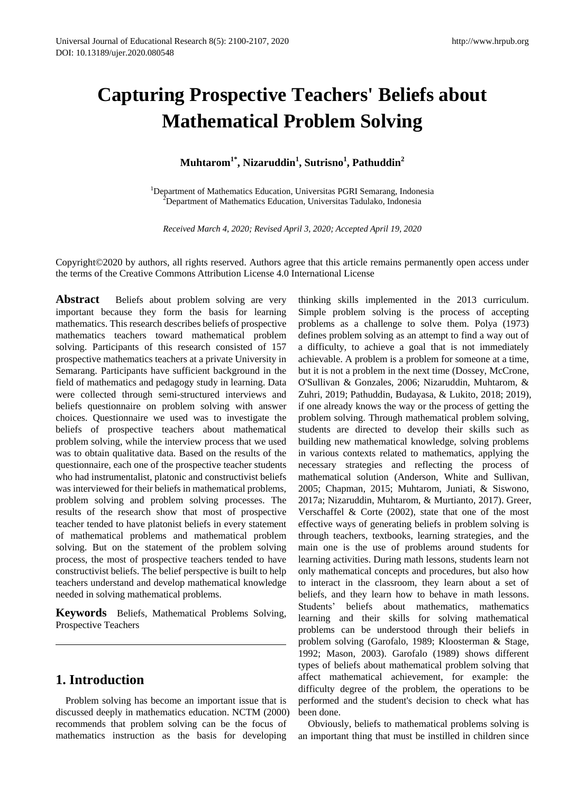# **Capturing Prospective Teachers' Beliefs about Mathematical Problem Solving**

## **Muhtarom1\*, Nizaruddin<sup>1</sup> , Sutrisno<sup>1</sup> , Pathuddin<sup>2</sup>**

<sup>1</sup>Department of Mathematics Education, Universitas PGRI Semarang, Indonesia <sup>2</sup>Department of Mathematics Education, Universitas Tadulako, Indonesia

*Received March 4, 2020; Revised April 3, 2020; Accepted April 19, 2020*

Copyright©2020 by authors, all rights reserved. Authors agree that this article remains permanently open access under the terms of the Creative Commons Attribution License 4.0 International License

Abstract Beliefs about problem solving are very important because they form the basis for learning mathematics. This research describes beliefs of prospective mathematics teachers toward mathematical problem solving. Participants of this research consisted of 157 prospective mathematics teachers at a private University in Semarang. Participants have sufficient background in the field of mathematics and pedagogy study in learning. Data were collected through semi-structured interviews and beliefs questionnaire on problem solving with answer choices. Questionnaire we used was to investigate the beliefs of prospective teachers about mathematical problem solving, while the interview process that we used was to obtain qualitative data. Based on the results of the questionnaire, each one of the prospective teacher students who had instrumentalist, platonic and constructivist beliefs was interviewed for their beliefs in mathematical problems, problem solving and problem solving processes. The results of the research show that most of prospective teacher tended to have platonist beliefs in every statement of mathematical problems and mathematical problem solving. But on the statement of the problem solving process, the most of prospective teachers tended to have constructivist beliefs. The belief perspective is built to help teachers understand and develop mathematical knowledge needed in solving mathematical problems.

**Keywords** Beliefs, Mathematical Problems Solving, Prospective Teachers

## **1. Introduction**

Problem solving has become an important issue that is discussed deeply in mathematics education. NCTM (2000) recommends that problem solving can be the focus of mathematics instruction as the basis for developing

thinking skills implemented in the 2013 curriculum. Simple problem solving is the process of accepting problems as a challenge to solve them. Polya (1973) defines problem solving as an attempt to find a way out of a difficulty, to achieve a goal that is not immediately achievable. A problem is a problem for someone at a time, but it is not a problem in the next time (Dossey, McCrone, O'Sullivan & Gonzales, 2006; Nizaruddin, Muhtarom, & Zuhri, 2019; Pathuddin, Budayasa, & Lukito, 2018; 2019), if one already knows the way or the process of getting the problem solving. Through mathematical problem solving, students are directed to develop their skills such as building new mathematical knowledge, solving problems in various contexts related to mathematics, applying the necessary strategies and reflecting the process of mathematical solution (Anderson, White and Sullivan, 2005; Chapman, 2015; Muhtarom, Juniati, & Siswono, 2017a; Nizaruddin, Muhtarom, & Murtianto, 2017). Greer, Verschaffel & Corte (2002), state that one of the most effective ways of generating beliefs in problem solving is through teachers, textbooks, learning strategies, and the main one is the use of problems around students for learning activities. During math lessons, students learn not only mathematical concepts and procedures, but also how to interact in the classroom, they learn about a set of beliefs, and they learn how to behave in math lessons. Students' beliefs about mathematics, mathematics learning and their skills for solving mathematical problems can be understood through their beliefs in problem solving (Garofalo, 1989; Kloosterman & Stage, 1992; Mason, 2003). Garofalo (1989) shows different types of beliefs about mathematical problem solving that affect mathematical achievement, for example: the difficulty degree of the problem, the operations to be performed and the student's decision to check what has been done.

Obviously, beliefs to mathematical problems solving is an important thing that must be instilled in children since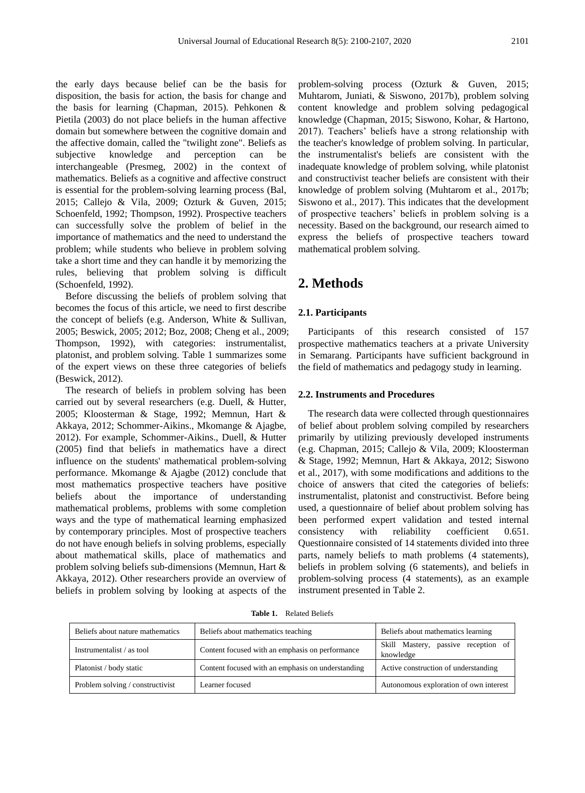the early days because belief can be the basis for disposition, the basis for action, the basis for change and the basis for learning (Chapman, 2015). Pehkonen & Pietila (2003) do not place beliefs in the human affective domain but somewhere between the cognitive domain and the affective domain, called the "twilight zone". Beliefs as subjective knowledge and perception can be interchangeable (Presmeg, 2002) in the context of mathematics. Beliefs as a cognitive and affective construct is essential for the problem-solving learning process (Bal, 2015; Callejo & Vila, 2009; Ozturk & Guven, 2015; Schoenfeld, 1992; Thompson, 1992). Prospective teachers can successfully solve the problem of belief in the importance of mathematics and the need to understand the problem; while students who believe in problem solving take a short time and they can handle it by memorizing the rules, believing that problem solving is difficult (Schoenfeld, 1992).

Before discussing the beliefs of problem solving that becomes the focus of this article, we need to first describe the concept of beliefs (e.g. Anderson, White & Sullivan, 2005; Beswick, 2005; 2012; Boz, 2008; Cheng et al., 2009; Thompson, 1992), with categories: instrumentalist, platonist, and problem solving. Table 1 summarizes some of the expert views on these three categories of beliefs (Beswick, 2012).

The research of beliefs in problem solving has been carried out by several researchers (e.g. Duell, & Hutter, 2005; Kloosterman & Stage, 1992; Memnun, Hart & Akkaya, 2012; Schommer-Aikins., Mkomange & Ajagbe, 2012). For example, Schommer-Aikins., Duell, & Hutter (2005) find that beliefs in mathematics have a direct influence on the students' mathematical problem-solving performance. Mkomange & Ajagbe (2012) conclude that most mathematics prospective teachers have positive beliefs about the importance of understanding mathematical problems, problems with some completion ways and the type of mathematical learning emphasized by contemporary principles. Most of prospective teachers do not have enough beliefs in solving problems, especially about mathematical skills, place of mathematics and problem solving beliefs sub-dimensions (Memnun, Hart & Akkaya, 2012). Other researchers provide an overview of beliefs in problem solving by looking at aspects of the

problem-solving process (Ozturk & Guven, 2015; Muhtarom, Juniati, & Siswono, 2017b), problem solving content knowledge and problem solving pedagogical knowledge (Chapman, 2015; Siswono, Kohar, & Hartono, 2017). Teachers' beliefs have a strong relationship with the teacher's knowledge of problem solving. In particular, the instrumentalist's beliefs are consistent with the inadequate knowledge of problem solving, while platonist and constructivist teacher beliefs are consistent with their knowledge of problem solving (Muhtarom et al., 2017b; Siswono et al., 2017). This indicates that the development of prospective teachers' beliefs in problem solving is a necessity. Based on the background, our research aimed to express the beliefs of prospective teachers toward mathematical problem solving.

## **2. Methods**

#### **2.1. Participants**

Participants of this research consisted of 157 prospective mathematics teachers at a private University in Semarang. Participants have sufficient background in the field of mathematics and pedagogy study in learning.

#### **2.2. Instruments and Procedures**

The research data were collected through questionnaires of belief about problem solving compiled by researchers primarily by utilizing previously developed instruments (e.g. Chapman, 2015; Callejo & Vila, 2009; Kloosterman & Stage, 1992; Memnun, Hart & Akkaya, 2012; Siswono et al., 2017), with some modifications and additions to the choice of answers that cited the categories of beliefs: instrumentalist, platonist and constructivist. Before being used, a questionnaire of belief about problem solving has been performed expert validation and tested internal consistency with reliability coefficient 0.651. Questionnaire consisted of 14 statements divided into three parts, namely beliefs to math problems (4 statements), beliefs in problem solving (6 statements), and beliefs in problem-solving process (4 statements), as an example instrument presented in Table 2.

| matics | Beliefs about mathematics teaching              | Beliefs about   |  |  |
|--------|-------------------------------------------------|-----------------|--|--|
|        | Content focused with an emphasis on performance | Master<br>Skill |  |  |

**Table 1.** Related Beliefs

| Beliefs about nature mathematics | Beliefs about mathematics teaching                | Beliefs about mathematics learning               |  |  |
|----------------------------------|---------------------------------------------------|--------------------------------------------------|--|--|
| Instrumentalist / as tool        | Content focused with an emphasis on performance   | Skill Mastery, passive reception of<br>knowledge |  |  |
| Platonist / body static          | Content focused with an emphasis on understanding | Active construction of understanding             |  |  |
| Problem solving / constructivist | Learner focused                                   | Autonomous exploration of own interest           |  |  |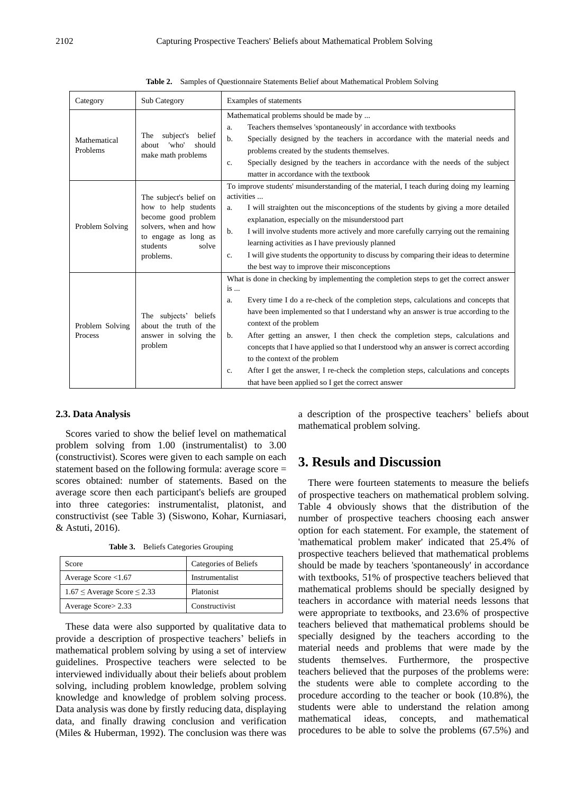| Category                   | Sub Category                                                                                                                                              | Examples of statements                                                                                                                                                                                                                                                                                                                                                                                                                                                                                                                                                                                                                                                            |
|----------------------------|-----------------------------------------------------------------------------------------------------------------------------------------------------------|-----------------------------------------------------------------------------------------------------------------------------------------------------------------------------------------------------------------------------------------------------------------------------------------------------------------------------------------------------------------------------------------------------------------------------------------------------------------------------------------------------------------------------------------------------------------------------------------------------------------------------------------------------------------------------------|
| Mathematical<br>Problems   | belief<br>subject's<br>The<br>'who'<br>should<br>about<br>make math problems                                                                              | Mathematical problems should be made by<br>Teachers themselves 'spontaneously' in accordance with textbooks<br>a.<br>Specially designed by the teachers in accordance with the material needs and<br>b.<br>problems created by the students themselves.<br>Specially designed by the teachers in accordance with the needs of the subject<br>c.<br>matter in accordance with the textbook                                                                                                                                                                                                                                                                                         |
| Problem Solving            | The subject's belief on<br>how to help students<br>become good problem<br>solvers, when and how<br>to engage as long as<br>students<br>solve<br>problems. | To improve students' misunderstanding of the material, I teach during doing my learning<br>activities<br>I will straighten out the misconceptions of the students by giving a more detailed<br>$a_{-}$<br>explanation, especially on the misunderstood part<br>I will involve students more actively and more carefully carrying out the remaining<br>b.<br>learning activities as I have previously planned<br>I will give students the opportunity to discuss by comparing their ideas to determine<br>$c_{\cdot}$<br>the best way to improve their misconceptions                                                                                                              |
| Problem Solving<br>Process | The subjects' beliefs<br>about the truth of the<br>answer in solving the<br>problem                                                                       | What is done in checking by implementing the completion steps to get the correct answer<br>$is \dots$<br>Every time I do a re-check of the completion steps, calculations and concepts that<br>a.<br>have been implemented so that I understand why an answer is true according to the<br>context of the problem<br>After getting an answer, I then check the completion steps, calculations and<br>b.<br>concepts that I have applied so that I understood why an answer is correct according<br>to the context of the problem<br>After I get the answer, I re-check the completion steps, calculations and concepts<br>c.<br>that have been applied so I get the correct answer |

**Table 2.** Samples of Questionnaire Statements Belief about Mathematical Problem Solving

#### **2.3. Data Analysis**

Scores varied to show the belief level on mathematical problem solving from 1.00 (instrumentalist) to 3.00 (constructivist). Scores were given to each sample on each statement based on the following formula: average score = scores obtained: number of statements. Based on the average score then each participant's beliefs are grouped into three categories: instrumentalist, platonist, and constructivist (see Table 3) (Siswono, Kohar, Kurniasari, & Astuti, 2016).

**Table 3.** Beliefs Categories Grouping

| Score                                 | Categories of Beliefs |
|---------------------------------------|-----------------------|
| Average Score $<1.67$                 | Instrumentalist       |
| $1.67 \leq$ Average Score $\leq$ 2.33 | Platonist             |
| Average Score> 2.33                   | Constructivist        |

These data were also supported by qualitative data to provide a description of prospective teachers' beliefs in mathematical problem solving by using a set of interview guidelines. Prospective teachers were selected to be interviewed individually about their beliefs about problem solving, including problem knowledge, problem solving knowledge and knowledge of problem solving process. Data analysis was done by firstly reducing data, displaying data, and finally drawing conclusion and verification (Miles & Huberman, 1992). The conclusion was there was

a description of the prospective teachers' beliefs about mathematical problem solving.

## **3. Resuls and Discussion**

There were fourteen statements to measure the beliefs of prospective teachers on mathematical problem solving. Table 4 obviously shows that the distribution of the number of prospective teachers choosing each answer option for each statement. For example, the statement of 'mathematical problem maker' indicated that 25.4% of prospective teachers believed that mathematical problems should be made by teachers 'spontaneously' in accordance with textbooks, 51% of prospective teachers believed that mathematical problems should be specially designed by teachers in accordance with material needs lessons that were appropriate to textbooks, and 23.6% of prospective teachers believed that mathematical problems should be specially designed by the teachers according to the material needs and problems that were made by the students themselves. Furthermore, the prospective teachers believed that the purposes of the problems were: the students were able to complete according to the procedure according to the teacher or book (10.8%), the students were able to understand the relation among mathematical ideas, concepts, and mathematical procedures to be able to solve the problems (67.5%) and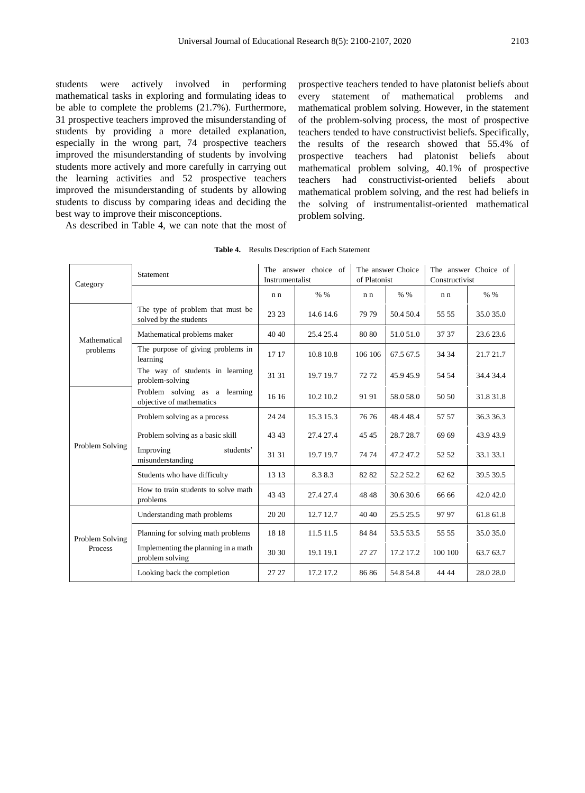students were actively involved in performing mathematical tasks in exploring and formulating ideas to be able to complete the problems (21.7%). Furthermore, 31 prospective teachers improved the misunderstanding of students by providing a more detailed explanation, especially in the wrong part, 74 prospective teachers improved the misunderstanding of students by involving students more actively and more carefully in carrying out the learning activities and 52 prospective teachers improved the misunderstanding of students by allowing students to discuss by comparing ideas and deciding the best way to improve their misconceptions.

As described in Table 4, we can note that the most of

prospective teachers tended to have platonist beliefs about every statement of mathematical problems and mathematical problem solving. However, in the statement of the problem-solving process, the most of prospective teachers tended to have constructivist beliefs. Specifically, the results of the research showed that 55.4% of prospective teachers had platonist beliefs about mathematical problem solving, 40.1% of prospective teachers had constructivist-oriented beliefs about mathematical problem solving, and the rest had beliefs in the solving of instrumentalist-oriented mathematical problem solving.

| Category                   | Statement                                                  | The answer choice of<br>Instrumentalist |           |         |           | The answer Choice<br>of Platonist |           | The answer Choice of<br>Constructivist |  |
|----------------------------|------------------------------------------------------------|-----------------------------------------|-----------|---------|-----------|-----------------------------------|-----------|----------------------------------------|--|
|                            |                                                            | n n                                     | % %       | n n     | % %       | n n                               | % %       |                                        |  |
| Mathematical<br>problems   | The type of problem that must be<br>solved by the students | 23 23                                   | 14.6 14.6 | 79 79   | 50.4 50.4 | 55 55                             | 35.0 35.0 |                                        |  |
|                            | Mathematical problems maker                                | 40 40                                   | 25.4 25.4 | 80 80   | 51.0 51.0 | 37 37                             | 23.6 23.6 |                                        |  |
|                            | The purpose of giving problems in<br>learning              | 17 17                                   | 10.8 10.8 | 106 106 | 67.5 67.5 | 34 34                             | 21.7 21.7 |                                        |  |
|                            | The way of students in learning<br>problem-solving         | 31 31                                   | 19.7 19.7 | 7272    | 45.945.9  | 54 54                             | 34.4 34.4 |                                        |  |
| Problem Solving            | Problem solving as a learning<br>objective of mathematics  | 16 16                                   | 10.2 10.2 | 9191    | 58.0 58.0 | 50 50                             | 31.8 31.8 |                                        |  |
|                            | Problem solving as a process                               | 24 24                                   | 15.3 15.3 | 7676    | 48.4 48.4 | 57 57                             | 36.3 36.3 |                                        |  |
|                            | Problem solving as a basic skill                           | 43 43                                   | 27.4 27.4 | 45 45   | 28.7 28.7 | 69 69                             | 43.943.9  |                                        |  |
|                            | Improving<br>students'<br>misunderstanding                 | 31 31                                   | 19.7 19.7 | 74 74   | 47.247.2  | 52 52                             | 33.1 33.1 |                                        |  |
|                            | Students who have difficulty                               | 13 13                                   | 8.38.3    | 82 82   | 52.2 52.2 | 62 62                             | 39.5 39.5 |                                        |  |
|                            | How to train students to solve math<br>problems            | 43 43                                   | 27.4 27.4 | 48 48   | 30.6 30.6 | 66 66                             | 42.042.0  |                                        |  |
| Problem Solving<br>Process | Understanding math problems                                | 20 20                                   | 12.7 12.7 | 40.40   | 25.5 25.5 | 9797                              | 61.8 61.8 |                                        |  |
|                            | Planning for solving math problems                         | 1818                                    | 11.5 11.5 | 84 84   | 53.5 53.5 | 55 55                             | 35.0 35.0 |                                        |  |
|                            | Implementing the planning in a math<br>problem solving     | 30 30                                   | 19.1 19.1 | 27 27   | 17.2 17.2 | 100 100                           | 63.7 63.7 |                                        |  |
|                            | Looking back the completion                                | 27 27                                   | 17.2 17.2 | 8686    | 54.8 54.8 | 44 44                             | 28.0 28.0 |                                        |  |

#### **Table 4.** Results Description of Each Statement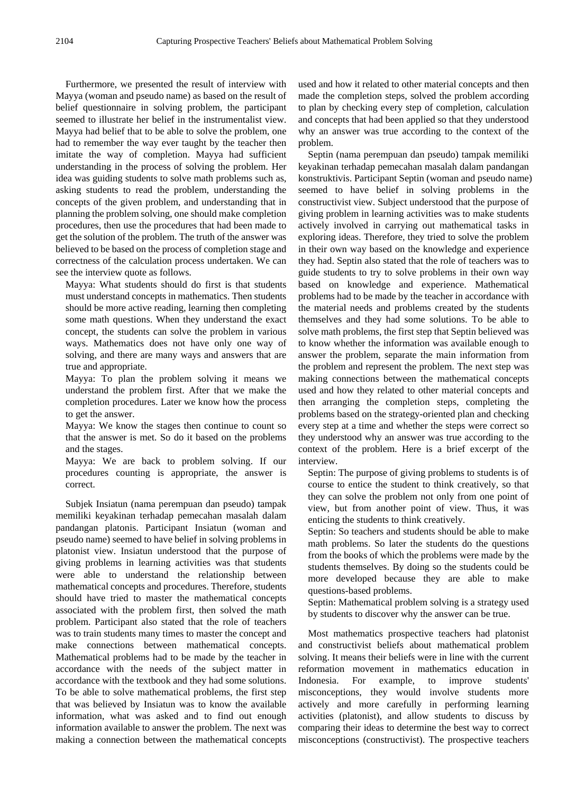Furthermore, we presented the result of interview with Mayya (woman and pseudo name) as based on the result of belief questionnaire in solving problem, the participant seemed to illustrate her belief in the instrumentalist view. Mayya had belief that to be able to solve the problem, one had to remember the way ever taught by the teacher then imitate the way of completion. Mayya had sufficient understanding in the process of solving the problem. Her idea was guiding students to solve math problems such as, asking students to read the problem, understanding the concepts of the given problem, and understanding that in planning the problem solving, one should make completion procedures, then use the procedures that had been made to get the solution of the problem. The truth of the answer was believed to be based on the process of completion stage and correctness of the calculation process undertaken. We can see the interview quote as follows.

Mayya: What students should do first is that students must understand concepts in mathematics. Then students should be more active reading, learning then completing some math questions. When they understand the exact concept, the students can solve the problem in various ways. Mathematics does not have only one way of solving, and there are many ways and answers that are true and appropriate.

Mayya: To plan the problem solving it means we understand the problem first. After that we make the completion procedures. Later we know how the process to get the answer.

Mayya: We know the stages then continue to count so that the answer is met. So do it based on the problems and the stages.

Mayya: We are back to problem solving. If our procedures counting is appropriate, the answer is correct.

Subjek Insiatun (nama perempuan dan pseudo) tampak memiliki keyakinan terhadap pemecahan masalah dalam pandangan platonis. Participant Insiatun (woman and pseudo name) seemed to have belief in solving problems in platonist view. Insiatun understood that the purpose of giving problems in learning activities was that students were able to understand the relationship between mathematical concepts and procedures. Therefore, students should have tried to master the mathematical concepts associated with the problem first, then solved the math problem. Participant also stated that the role of teachers was to train students many times to master the concept and make connections between mathematical concepts. Mathematical problems had to be made by the teacher in accordance with the needs of the subject matter in accordance with the textbook and they had some solutions. To be able to solve mathematical problems, the first step that was believed by Insiatun was to know the available information, what was asked and to find out enough information available to answer the problem. The next was making a connection between the mathematical concepts

used and how it related to other material concepts and then made the completion steps, solved the problem according to plan by checking every step of completion, calculation and concepts that had been applied so that they understood why an answer was true according to the context of the problem.

Septin (nama perempuan dan pseudo) tampak memiliki keyakinan terhadap pemecahan masalah dalam pandangan konstruktivis. Participant Septin (woman and pseudo name) seemed to have belief in solving problems in the constructivist view. Subject understood that the purpose of giving problem in learning activities was to make students actively involved in carrying out mathematical tasks in exploring ideas. Therefore, they tried to solve the problem in their own way based on the knowledge and experience they had. Septin also stated that the role of teachers was to guide students to try to solve problems in their own way based on knowledge and experience. Mathematical problems had to be made by the teacher in accordance with the material needs and problems created by the students themselves and they had some solutions. To be able to solve math problems, the first step that Septin believed was to know whether the information was available enough to answer the problem, separate the main information from the problem and represent the problem. The next step was making connections between the mathematical concepts used and how they related to other material concepts and then arranging the completion steps, completing the problems based on the strategy-oriented plan and checking every step at a time and whether the steps were correct so they understood why an answer was true according to the context of the problem. Here is a brief excerpt of the interview.

Septin: The purpose of giving problems to students is of course to entice the student to think creatively, so that they can solve the problem not only from one point of view, but from another point of view. Thus, it was enticing the students to think creatively.

Septin: So teachers and students should be able to make math problems. So later the students do the questions from the books of which the problems were made by the students themselves. By doing so the students could be more developed because they are able to make questions-based problems.

Septin: Mathematical problem solving is a strategy used by students to discover why the answer can be true.

Most mathematics prospective teachers had platonist and constructivist beliefs about mathematical problem solving. It means their beliefs were in line with the current reformation movement in mathematics education in Indonesia. For example, to improve students' misconceptions, they would involve students more actively and more carefully in performing learning activities (platonist), and allow students to discuss by comparing their ideas to determine the best way to correct misconceptions (constructivist). The prospective teachers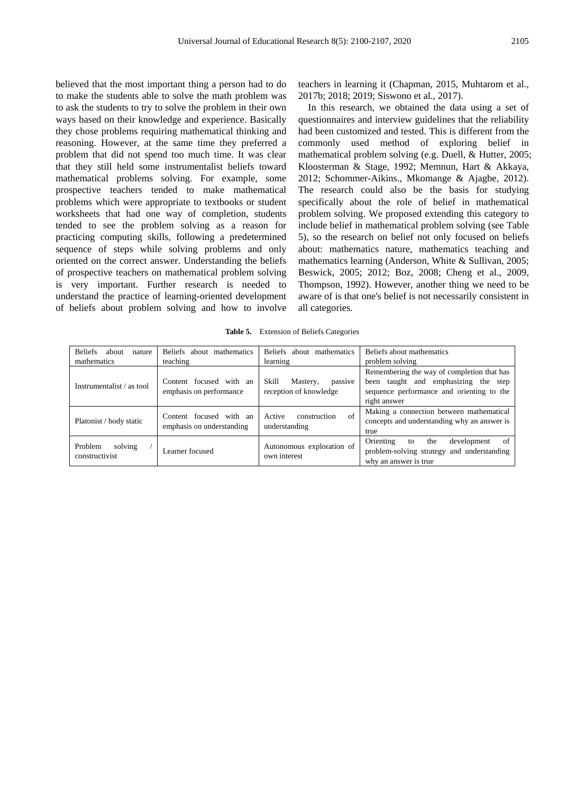believed that the most important thing a person had to do to make the students able to solve the math problem was to ask the students to try to solve the problem in their own ways based on their knowledge and experience. Basically they chose problems requiring mathematical thinking and reasoning. However, at the same time they preferred a problem that did not spend too much time. It was clear that they still held some instrumentalist beliefs toward mathematical problems solving. For example, some prospective teachers tended to make mathematical problems which were appropriate to textbooks or student worksheets that had one way of completion, students tended to see the problem solving as a reason for practicing computing skills, following a predetermined sequence of steps while solving problems and only oriented on the correct answer. Understanding the beliefs of prospective teachers on mathematical problem solving is very important. Further research is needed to understand the practice of learning-oriented development of beliefs about problem solving and how to involve

teachers in learning it (Chapman, 2015, Muhtarom et al., 2017b; 2018; 2019; Siswono et al., 2017).

In this research, we obtained the data using a set of questionnaires and interview guidelines that the reliability had been customized and tested. This is different from the commonly used method of exploring belief in mathematical problem solving (e.g. Duell, & Hutter, 2005; Kloosterman & Stage, 1992; Memnun, Hart & Akkaya, 2012; Schommer-Aikins., Mkomange & Ajagbe, 2012). The research could also be the basis for studying specifically about the role of belief in mathematical problem solving. We proposed extending this category to include belief in mathematical problem solving (see Table 5), so the research on belief not only focused on beliefs about: mathematics nature, mathematics teaching and mathematics learning (Anderson, White & Sullivan, 2005; Beswick, 2005; 2012; Boz, 2008; Cheng et al., 2009, Thompson, 1992). However, another thing we need to be aware of is that one's belief is not necessarily consistent in all categories.

| <b>Beliefs</b><br>about<br>nature<br>mathematics | <b>Beliefs</b><br>about mathematics<br>teaching      | Beliefs about mathematics<br>learning                  | Beliefs about mathematics<br>problem solving                                                                                                          |
|--------------------------------------------------|------------------------------------------------------|--------------------------------------------------------|-------------------------------------------------------------------------------------------------------------------------------------------------------|
| Instrumentalist / as tool                        | Content focused with an<br>emphasis on performance   | Skill<br>Mastery,<br>passive<br>reception of knowledge | Remembering the way of completion that has<br>taught and emphasizing<br>the step<br>been<br>sequence performance and orienting to the<br>right answer |
| Platonist / body static                          | Content focused with an<br>emphasis on understanding | of<br>Active<br>construction<br>understanding          | Making a connection between mathematical<br>concepts and understanding why an answer is<br>true                                                       |
| Problem<br>solving<br>constructivist             | Learner focused                                      | Autonomous exploration of<br>own interest              | Orienting<br>development<br>the<br>of<br>to<br>problem-solving strategy and understanding<br>why an answer is true                                    |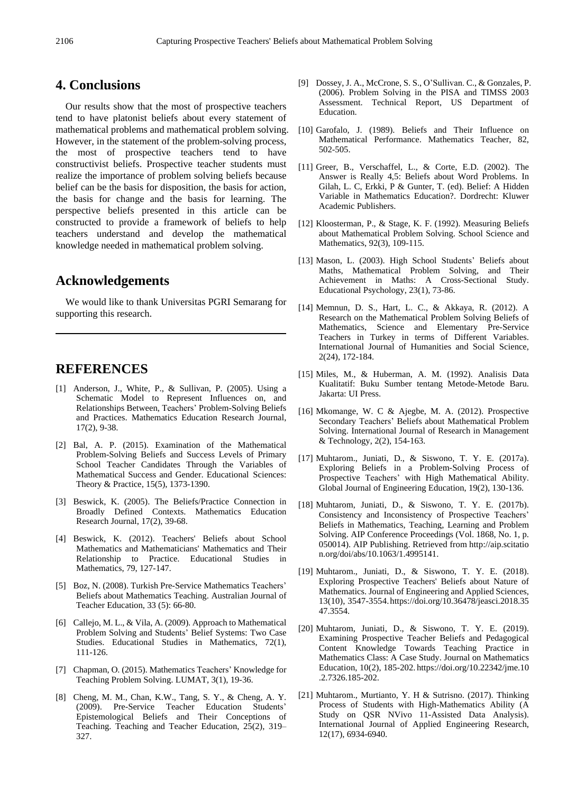### **4. Conclusions**

Our results show that the most of prospective teachers tend to have platonist beliefs about every statement of mathematical problems and mathematical problem solving. However, in the statement of the problem-solving process, the most of prospective teachers tend to have constructivist beliefs. Prospective teacher students must realize the importance of problem solving beliefs because belief can be the basis for disposition, the basis for action, the basis for change and the basis for learning. The perspective beliefs presented in this article can be constructed to provide a framework of beliefs to help teachers understand and develop the mathematical knowledge needed in mathematical problem solving.

## **Acknowledgements**

We would like to thank Universitas PGRI Semarang for supporting this research.

## **REFERENCES**

- [1] Anderson, J., White, P., & Sullivan, P. (2005). Using a Schematic Model to Represent Influences on, and Relationships Between, Teachers' Problem-Solving Beliefs and Practices. Mathematics Education Research Journal, 17(2), 9-38.
- [2] Bal, A. P. (2015). Examination of the Mathematical Problem-Solving Beliefs and Success Levels of Primary School Teacher Candidates Through the Variables of Mathematical Success and Gender. Educational Sciences: Theory & Practice, 15(5), 1373-1390.
- [3] Beswick, K. (2005). The Beliefs/Practice Connection in Broadly Defined Contexts. Mathematics Education Research Journal, 17(2), 39-68.
- [4] Beswick, K. (2012). Teachers' Beliefs about School Mathematics and Mathematicians' Mathematics and Their Relationship to Practice. Educational Studies in Mathematics, 79, 127-147.
- [5] Boz, N. (2008). Turkish Pre-Service Mathematics Teachers' Beliefs about Mathematics Teaching. Australian Journal of Teacher Education, 33 (5): 66-80.
- [6] Callejo, M. L., & Vila, A. (2009). Approach to Mathematical Problem Solving and Students' Belief Systems: Two Case Studies. Educational Studies in Mathematics, 72(1), 111-126.
- [7] Chapman, O. (2015). Mathematics Teachers' Knowledge for Teaching Problem Solving. LUMAT, 3(1), 19-36.
- [8] Cheng, M. M., Chan, K.W., Tang, S. Y., & Cheng, A. Y. (2009). Pre-Service Teacher Education Students' Epistemological Beliefs and Their Conceptions of Teaching. Teaching and Teacher Education, 25(2), 319– 327.
- [9] Dossey, J. A., McCrone, S. S., O'Sullivan. C., & Gonzales, P. (2006). Problem Solving in the PISA and TIMSS 2003 Assessment. Technical Report, US Department of Education.
- [10] Garofalo, J. (1989). Beliefs and Their Influence on Mathematical Performance. Mathematics Teacher, 82, 502-505.
- [11] Greer, B., Verschaffel, L., & Corte, E.D. (2002). The Answer is Really 4,5: Beliefs about Word Problems. In Gilah, L. C, Erkki, P & Gunter, T. (ed). Belief: A Hidden Variable in Mathematics Education?. Dordrecht: Kluwer Academic Publishers.
- [12] Kloosterman, P., & Stage, K. F. (1992). Measuring Beliefs about Mathematical Problem Solving. School Science and Mathematics, 92(3), 109-115.
- [13] Mason, L. (2003). High School Students' Beliefs about Maths, Mathematical Problem Solving, and Their Achievement in Maths: A Cross-Sectional Study. Educational Psychology, 23(1), 73-86.
- [14] Memnun, D. S., Hart, L. C., & Akkaya, R. (2012). A Research on the Mathematical Problem Solving Beliefs of Mathematics, Science and Elementary Pre-Service Teachers in Turkey in terms of Different Variables. International Journal of Humanities and Social Science, 2(24), 172-184.
- [15] Miles, M., & Huberman, A. M. (1992). Analisis Data Kualitatif: Buku Sumber tentang Metode-Metode Baru. Jakarta: UI Press.
- [16] Mkomange, W. C & Ajegbe, M. A. (2012). Prospective Secondary Teachers' Beliefs about Mathematical Problem Solving. International Journal of Research in Management & Technology, 2(2), 154-163.
- [17] Muhtarom., Juniati, D., & Siswono, T. Y. E. (2017a). Exploring Beliefs in a Problem-Solving Process of Prospective Teachers' with High Mathematical Ability. Global Journal of Engineering Education, 19(2), 130-136.
- [18] Muhtarom, Juniati, D., & Siswono, T. Y. E. (2017b). Consistency and Inconsistency of Prospective Teachers' Beliefs in Mathematics, Teaching, Learning and Problem Solving. AIP Conference Proceedings (Vol. 1868, No. 1, p. 050014). AIP Publishing. Retrieved fro[m](http://aip.scitation.org/doi/abs/10.1063/1.4995141) [http://aip.scitatio](http://aip.scitation.org/doi/abs/10.1063/1.4995141) [n.org/doi/abs/10.1063/1.4995141.](http://aip.scitation.org/doi/abs/10.1063/1.4995141)
- [19] Muhtarom., Juniati, D., & Siswono, T. Y. E. (2018). Exploring Prospective Teachers' Beliefs about Nature of Mathematics. Journal of Engineering and Applied Sciences, 13(10), 3547-3554.https://doi.org/10.36478/jeasci.2018.35 47.3554.
- [20] Muhtarom, Juniati, D., & Siswono, T. Y. E. (2019). Examining Prospective Teacher Beliefs and Pedagogical Content Knowledge Towards Teaching Practice in Mathematics Class: A Case Study. Journal on Mathematics Education, 10(2), 185-202. https://doi.org/10.22342/jme.10 .2.7326.185-202.
- [21] Muhtarom., Murtianto, Y. H & Sutrisno. (2017). Thinking Process of Students with High-Mathematics Ability (A Study on QSR NVivo 11-Assisted Data Analysis). International Journal of Applied Engineering Research, 12(17), 6934-6940.